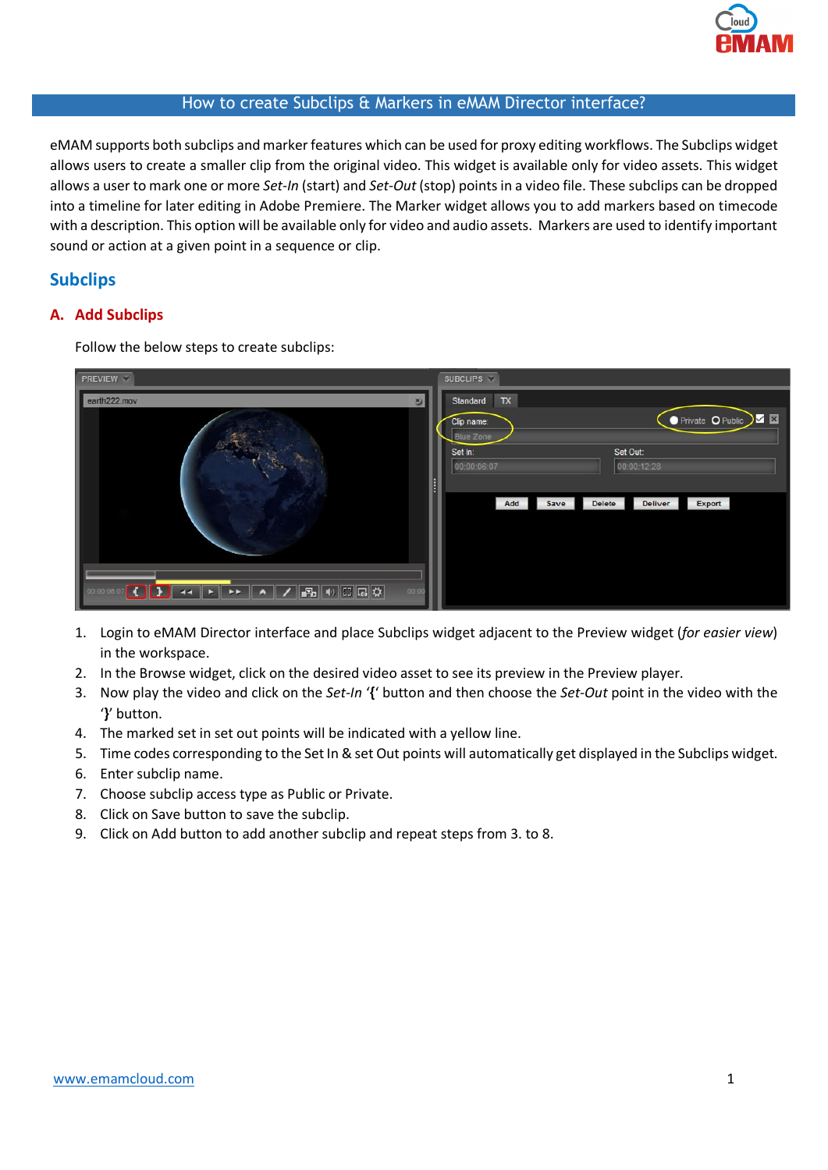

## How to create Subclips & Markers in eMAM Director interface?

eMAM supports both subclips and marker features which can be used for proxy editing workflows. The Subclips widget allows users to create a smaller clip from the original video. This widget is available only for video assets. This widget allows a user to mark one or more *Set-In* (start) and *Set-Out* (stop) points in a video file. These subclips can be dropped into a timeline for later editing in Adobe Premiere. The Marker widget allows you to add markers based on timecode with a description. This option will be available only for video and audio assets. Markers are used to identify important sound or action at a given point in a sequence or clip.

# **Subclips**

## **A. Add Subclips**

Follow the below steps to create subclips:

| <b>PREVIEW</b>                                | <b>SUBCLIPS</b>                                                                                                                                                                                |
|-----------------------------------------------|------------------------------------------------------------------------------------------------------------------------------------------------------------------------------------------------|
| earth222.mov<br>ಶ<br>Veri<br>$\sigma_{\rm c}$ | TX<br>Standard<br>Private O Public X E<br>Clip name:<br><b>Blue Zone</b><br>Set In:<br>Set Out:<br>00:00:06:07<br>00:00:12:28<br>H<br><b>Delete</b><br><b>Deliver</b><br>Export<br>Add<br>Save |
| 00:00                                         |                                                                                                                                                                                                |

- 1. Login to eMAM Director interface and place Subclips widget adjacent to the Preview widget (*for easier view*) in the workspace.
- 2. In the Browse widget, click on the desired video asset to see its preview in the Preview player.
- 3. Now play the video and click on the *Set-In* '**{**' button and then choose the *Set-Out* point in the video with the '**}**' button.
- 4. The marked set in set out points will be indicated with a yellow line.
- 5. Time codes corresponding to the Set In & set Out points will automatically get displayed in the Subclips widget.
- 6. Enter subclip name.
- 7. Choose subclip access type as Public or Private.
- 8. Click on Save button to save the subclip.
- 9. Click on Add button to add another subclip and repeat steps from 3. to 8.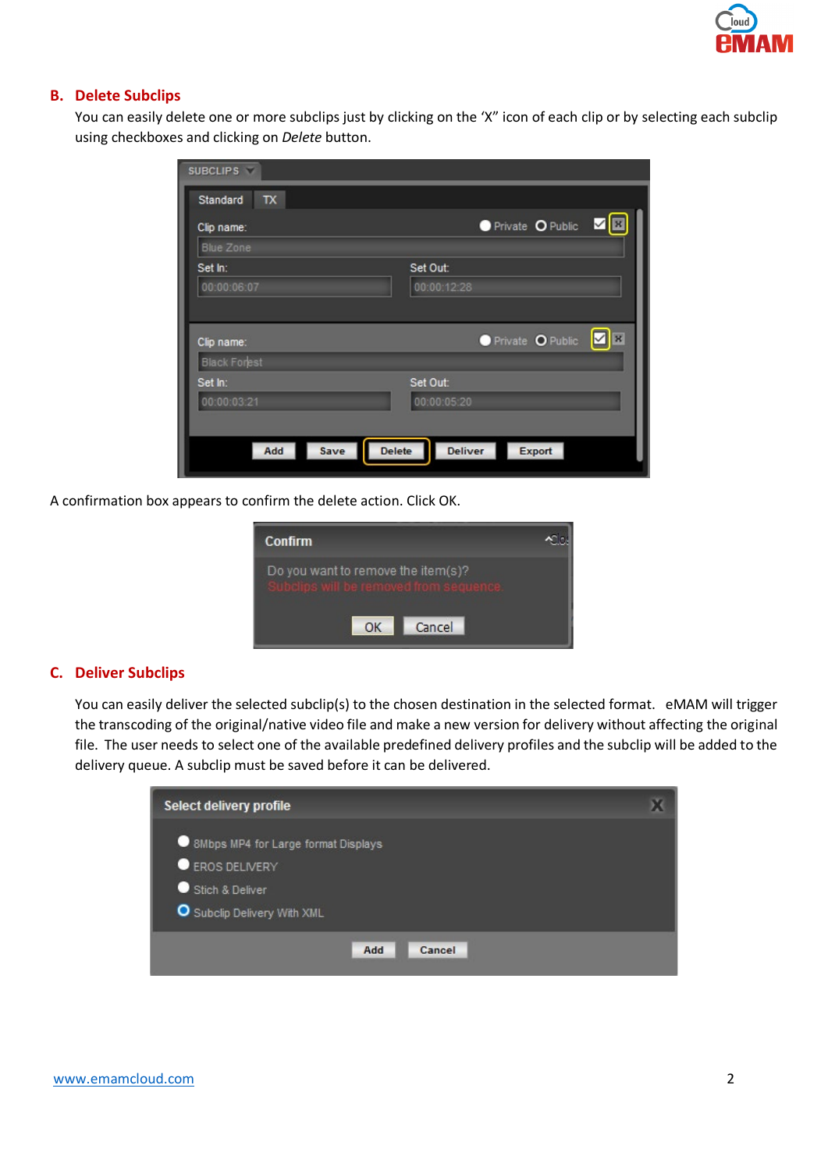#### **B. Delete Subclips**

You can easily delete one or more subclips just by clicking on the 'X" icon of each clip or by selecting each subclip using checkboxes and clicking on *Delete* button.

| <b>SUBCLIPS</b>     |                                                          |
|---------------------|----------------------------------------------------------|
| Standard<br>TX      |                                                          |
| Clip name:          | Private O Public<br>B<br>⊻                               |
| <b>Blue Zone</b>    |                                                          |
| Set In:             | Set Out:                                                 |
| 00:00:06:07         | 00:00:12:28                                              |
|                     |                                                          |
| Clip name:          | Private O Public<br>☑<br>$\vert$ $\vert$ $\vert$ $\vert$ |
| <b>Black Forest</b> |                                                          |
| Set In:             | Set Out:                                                 |
| 00:00:03:21         | 00:00:05:20                                              |
|                     |                                                          |
| Save<br>Add         | <b>Delete</b><br><b>Deliver</b><br>Export                |
|                     |                                                          |

A confirmation box appears to confirm the delete action. Click OK.

| <b>Confirm</b>                                               |  |
|--------------------------------------------------------------|--|
| Do you want to remove the item(s)?<br>will he removed from : |  |
| Cancel<br>OK                                                 |  |

## **C. Deliver Subclips**

You can easily deliver the selected subclip(s) to the chosen destination in the selected format. eMAM will trigger the transcoding of the original/native video file and make a new version for delivery without affecting the original file. The user needs to select one of the available predefined delivery profiles and the subclip will be added to the delivery queue. A subclip must be saved before it can be delivered.

| Select delivery profile             |  |
|-------------------------------------|--|
| 8Mbps MP4 for Large format Displays |  |
| EROS DELIVERY                       |  |
| Stich & Deliver<br>. .              |  |
| Subclip Delivery With XML           |  |
| Add<br>Cancel                       |  |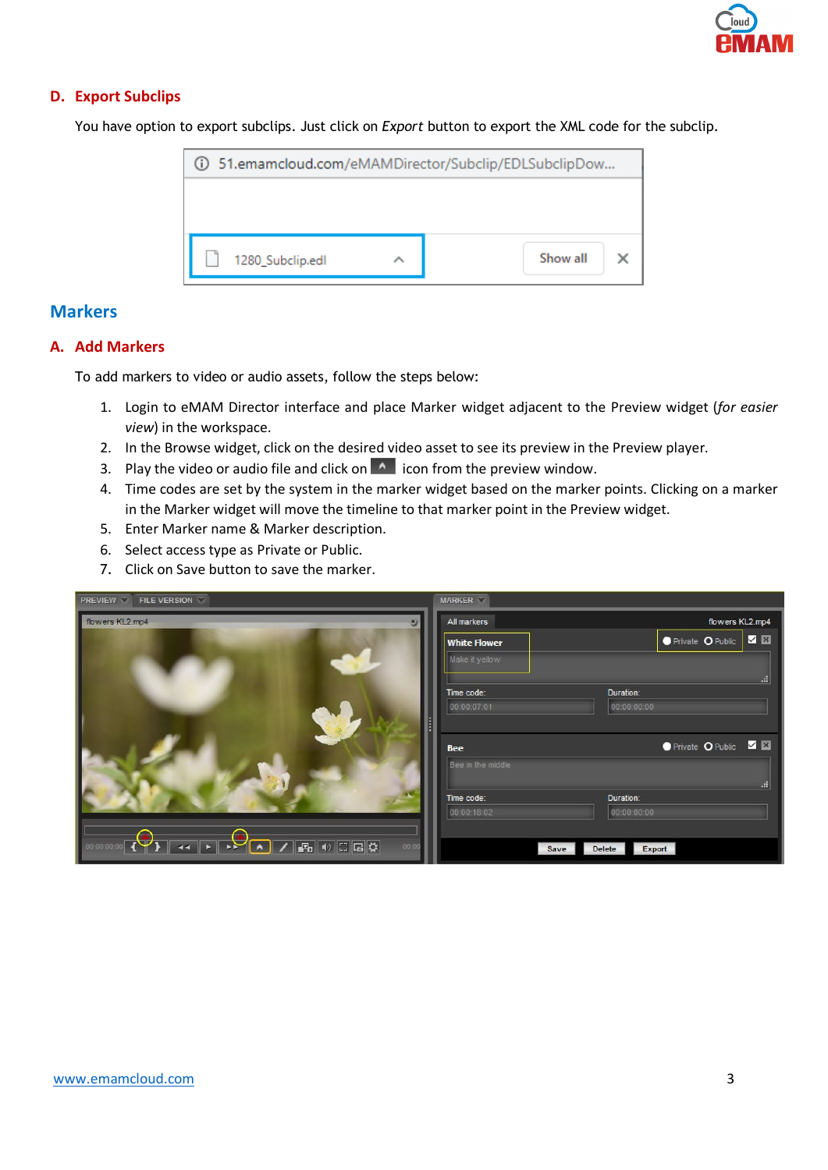## **D. Export Subclips**

You have option to export subclips. Just click on *Export* button to export the XML code for the subclip.



# **Markers**

## **A. Add Markers**

To add markers to video or audio assets, follow the steps below:

- 1. Login to eMAM Director interface and place Marker widget adjacent to the Preview widget (*for easier view*) in the workspace.
- 2. In the Browse widget, click on the desired video asset to see its preview in the Preview player.
- 3. Play the video or audio file and click on  $\sim$  icon from the preview window.
- 4. Time codes are set by the system in the marker widget based on the marker points. Clicking on a marker in the Marker widget will move the timeline to that marker point in the Preview widget.
- 5. Enter Marker name & Marker description.
- 6. Select access type as Private or Public.
- 7. Click on Save button to save the marker.

| <b>PREVIEW</b><br><b>FILE VERSION</b> | <b>MARKER</b>                                         |    |
|---------------------------------------|-------------------------------------------------------|----|
| flowers KL2.mp4<br>$\mathbf{v}$       | flowers KL2.mp4<br>All markers                        |    |
|                                       | ● Private O Public <b>2 E</b><br><b>White Flower</b>  |    |
|                                       | Make it yellow                                        |    |
|                                       |                                                       | m. |
|                                       | Duration:<br>Time code:                               |    |
|                                       | 00:00:07:01<br>00:00:00:00                            |    |
|                                       |                                                       |    |
|                                       | ● Private O Public ■ 图<br><b>Bee</b>                  |    |
|                                       | Bee in the middle                                     |    |
|                                       |                                                       | m  |
|                                       | Duration:<br>Time code:<br>00:00:18:02<br>00:00:00:00 |    |
|                                       |                                                       |    |
| 00:00                                 | Export<br><b>Delete</b><br><b>Save</b>                |    |
|                                       |                                                       |    |